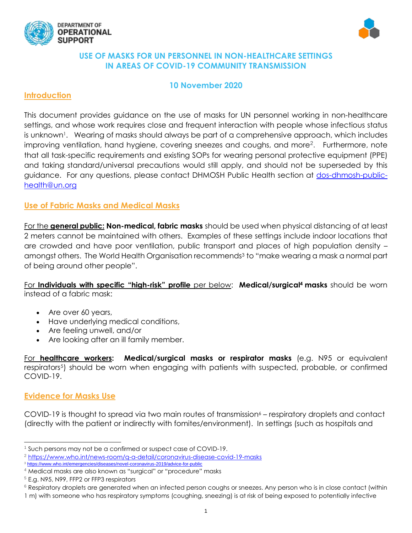



### **USE OF MASKS FOR UN PERSONNEL IN NON-HEALTHCARE SETTINGS IN AREAS OF COVID-19 COMMUNITY TRANSMISSION**

# **10 November 2020**

### **Introduction**

This document provides guidance on the use of masks for UN personnel working in non-healthcare settings, and whose work requires close and frequent interaction with people whose infectious status is unknown<sup>1</sup>. Wearing of masks should always be part of a comprehensive approach, which includes improving ventilation, hand hygiene, covering sneezes and coughs, and more<sup>2</sup>. Furthermore, note that all task-specific requirements and existing SOPs for wearing personal protective equipment (PPE) and taking standard/universal precautions would still apply, and should not be superseded by this guidance. For any questions, please contact DHMOSH Public Health section at [dos-dhmosh-public](mailto:dos-dhmosh-public-health@un.org)[health@un.org](mailto:dos-dhmosh-public-health@un.org)

# **Use of Fabric Masks and Medical Masks**

For the **general public: Non-medical, fabric masks** should be used when physical distancing of at least 2 meters cannot be maintained with others. Examples of these settings include indoor locations that are crowded and have poor ventilation, public transport and places of high population density – amongst others. The World Health Organisation recommends<sup>3</sup> to "make wearing a mask a normal part of being around other people".

For **Individuals with specific "high-risk" profile** per below: **Medical/surgical<sup>4</sup> masks** should be worn instead of a fabric mask:

- Are over 60 years,
- Have underlying medical conditions,
- Are feeling unwell, and/or
- Are looking after an ill family member.

For **healthcare workers: Medical/surgical masks or respirator masks** (e.g. N95 or equivalent respirators<sup>5</sup>) should be worn when engaging with patients with suspected, probable, or confirmed COVID-19.

### **Evidence for Masks Use**

l

COVID-19 is thought to spread via two main routes of transmission $6 -$  respiratory droplets and contact (directly with the patient or indirectly with fomites/environment). In settings (such as hospitals and

<sup>1</sup> Such persons may not be a confirmed or suspect case of COVID-19.

<sup>2</sup> <https://www.who.int/news-room/q-a-detail/coronavirus-disease-covid-19-masks>

<sup>3</sup> <https://www.who.int/emergencies/diseases/novel-coronavirus-2019/advice-for-public>

<sup>4</sup> Medical masks are also known as "surgical" or "procedure" masks

<sup>&</sup>lt;sup>5</sup> E.g. N95, N99, FFP2 or FFP3 respirators

<sup>&</sup>lt;sup>6</sup> Respiratory droplets are generated when an infected person coughs or sneezes. Any person who is in close contact (within

<sup>1</sup> m) with someone who has respiratory symptoms (coughing, sneezing) is at risk of being exposed to potentially infective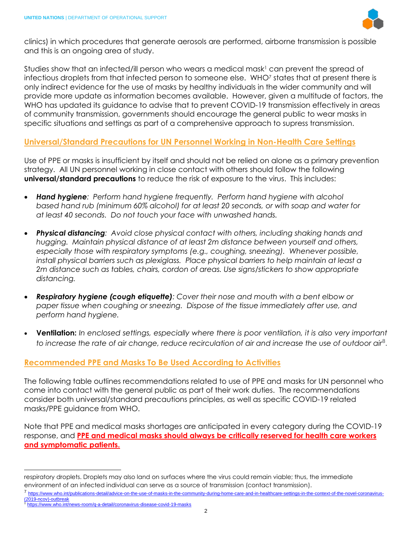

clinics) in which procedures that generate aerosols are performed, airborne transmission is possible and this is an ongoing area of study.

Studies show that an infected/ill person who wears a medical mask<sup>1</sup> can prevent the spread of infectious droplets from that infected person to someone else. WHO<sup>7</sup> states that at present there is only indirect evidence for the use of masks by healthy individuals in the wider community and will provide more update as information becomes available. However, given a multitude of factors, the WHO has updated its guidance to advise that to prevent COVID-19 transmission effectively in areas of community transmission, governments should encourage the general public to wear masks in specific situations and settings as part of a comprehensive approach to supress transmission.

### **Universal/Standard Precautions for UN Personnel Working in Non-Health Care Settings**

Use of PPE or masks is insufficient by itself and should not be relied on alone as a primary prevention strategy. All UN personnel working in close contact with others should follow the following **universal/standard precautions** to reduce the risk of exposure to the virus. This includes:

- *Hand hygiene: Perform hand hygiene frequently. Perform hand hygiene with alcohol based hand rub (minimum 60% alcohol) for at least 20 seconds, or with soap and water for at least 40 seconds. Do not touch your face with unwashed hands.*
- *Physical distancing: Avoid close physical contact with others, including shaking hands and hugging. Maintain physical distance of at least 2m distance between yourself and others, especially those with respiratory symptoms (e.g., coughing, sneezing). Whenever possible, install physical barriers such as plexiglass. Place physical barriers to help maintain at least a 2m distance such as tables, chairs, cordon of areas. Use signs/stickers to show appropriate distancing.*
- *Respiratory hygiene (cough etiquette): Cover their nose and mouth with a bent elbow or paper tissue when coughing or sneezing. Dispose of the tissue immediately after use, and perform hand hygiene.*
- **Ventilation:** *In enclosed settings, especially where there is poor ventilation, it is also very important to increase the rate of air change, reduce recirculation of air and increase the use of outdoor air*<sup>8</sup> .

### **Recommended PPE and Masks To Be Used According to Activities**

The following table outlines recommendations related to use of PPE and masks for UN personnel who come into contact with the general public as part of their work duties. The recommendations consider both universal/standard precautions principles, as well as specific COVID-19 related masks/PPE guidance from WHO.

Note that PPE and medical masks shortages are anticipated in every category during the COVID-19 response, and **PPE and medical masks should always be critically reserved for health care workers and symptomatic patients.**

- 7 [https://www.who.int/publications-detail/advice-on-the-use-of-masks-in-the-community-during-home-care-and-in-healthcare-settings-in-the-context-of-the-novel-coronavirus-](https://www.who.int/publications-detail/advice-on-the-use-of-masks-in-the-community-during-home-care-and-in-healthcare-settings-in-the-context-of-the-novel-coronavirus-(2019-ncov)-outbreak) [\(2019-ncov\)-outbreak](https://www.who.int/publications-detail/advice-on-the-use-of-masks-in-the-community-during-home-care-and-in-healthcare-settings-in-the-context-of-the-novel-coronavirus-(2019-ncov)-outbreak)
- <https://www.who.int/news-room/q-a-detail/coronavirus-disease-covid-19-masks>

l

respiratory droplets. Droplets may also land on surfaces where the virus could remain viable; thus, the immediate environment of an infected individual can serve as a source of transmission (contact transmission).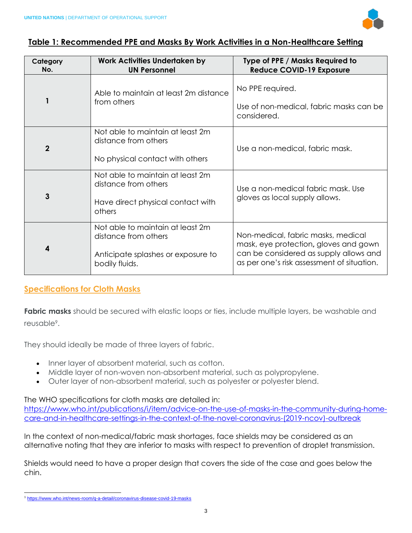

### **Table 1: Recommended PPE and Masks By Work Activities in a Non-Healthcare Setting**

| Category<br>No.  | Work Activities Undertaken by<br><b>UN Personnel</b>                                                             | Type of PPE / Masks Required to<br><b>Reduce COVID-19 Exposure</b>                                                                                                  |
|------------------|------------------------------------------------------------------------------------------------------------------|---------------------------------------------------------------------------------------------------------------------------------------------------------------------|
|                  | Able to maintain at least 2m distance<br>from others                                                             | No PPE required.<br>Use of non-medical, fabric masks can be<br>considered.                                                                                          |
| $\overline{2}$   | Not able to maintain at least 2m<br>distance from others<br>No physical contact with others                      | Use a non-medical, fabric mask.                                                                                                                                     |
| $\mathbf{3}$     | Not able to maintain at least 2m<br>distance from others<br>Have direct physical contact with<br>others          | Use a non-medical fabric mask. Use<br>gloves as local supply allows.                                                                                                |
| $\boldsymbol{4}$ | Not able to maintain at least 2m<br>distance from others<br>Anticipate splashes or exposure to<br>bodily fluids. | Non-medical, fabric masks, medical<br>mask, eye protection, gloves and gown<br>can be considered as supply allows and<br>as per one's risk assessment of situation. |

# **Specifications for Cloth Masks**

**Fabric masks** should be secured with elastic loops or ties, include multiple layers, be washable and reusable<sup>9</sup>.

They should ideally be made of three layers of fabric.

- Inner layer of absorbent material, such as cotton.
- Middle layer of non-woven non-absorbent material, such as polypropylene.
- Outer layer of non-absorbent material, such as polyester or polyester blend.

The WHO specifications for cloth masks are detailed in:

[https://www.who.int/publications/i/item/advice-on-the-use-of-masks-in-the-community-during-home](https://www.who.int/publications/i/item/advice-on-the-use-of-masks-in-the-community-during-home-care-and-in-healthcare-settings-in-the-context-of-the-novel-coronavirus-(2019-ncov)-outbreak)[care-and-in-healthcare-settings-in-the-context-of-the-novel-coronavirus-\(2019-ncov\)-outbreak](https://www.who.int/publications/i/item/advice-on-the-use-of-masks-in-the-community-during-home-care-and-in-healthcare-settings-in-the-context-of-the-novel-coronavirus-(2019-ncov)-outbreak)

In the context of non-medical/fabric mask shortages, face shields may be considered as an alternative noting that they are inferior to masks with respect to prevention of droplet transmission.

Shields would need to have a proper design that covers the side of the case and goes below the chin.

l <sup>9</sup> <https://www.who.int/news-room/q-a-detail/coronavirus-disease-covid-19-masks>